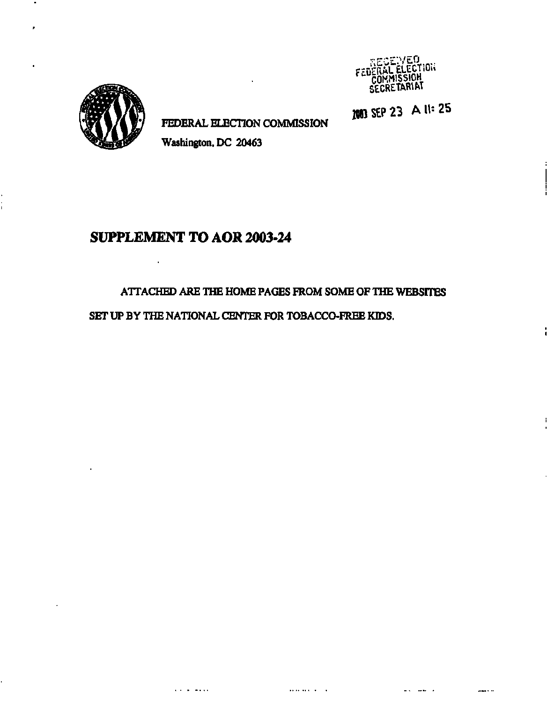

**1MB SEP 2 3 All-2 5** 



**FEDERAL ELECTION COMMISSION** 

 $\mathbf{r}$ 

**Washington, DC 20463** 

# **SUPPLEMENT TO AOR 2003-24**

 $\mathcal{L}_{\mathbf{r}}$ 

## **ATTACHED ARE THE HOME PAGES FROM SOME OF THE WEBSITES**

**SET UP BY THE NATIONAL CENTER FOR TOBACCO-FREE KIDS.**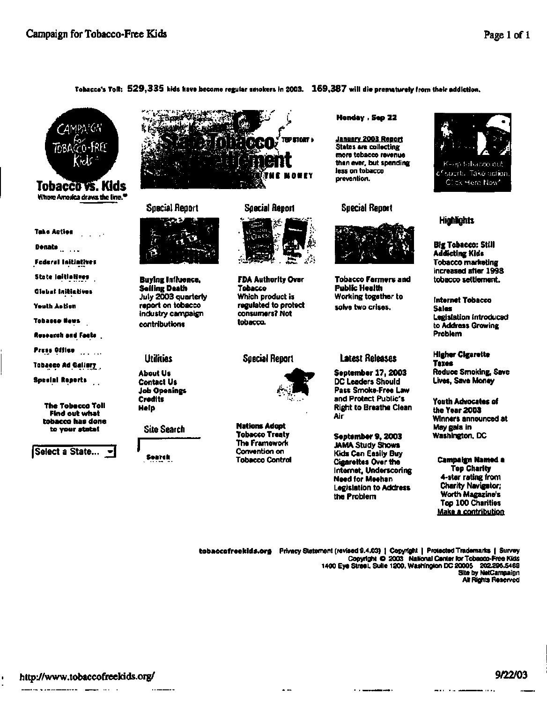#### **Tobacco's Toll: 529,33 5 kids have become regular smokers in 2003. 169,38 7 will die prematurely from their addiction.**



**Where America draws the line,"** 



**Donate** 

**Federal Initiatives** 

**State Initiatives** 

**Global Initiatives** 

**Youth Action** 

**Tobacco Newt** 

**Roioarch and Facts .** 

**Press Offico** 

**Tobacco Ad Gallery** 

**Special Reports** 

**The Tobacco Toll Find out what tobacco has done to your state!** 

**j**Select a State...



**Special Report** 



**Buying Influence, Selling Death July 2003 quarterly report on tobacco industry campaign contributions** 

#### **Utilities**

**About Us Contact Us Job Openings Credits Help** 

**Site Search** 

**Search** 



**FDA Authority Over Tobacco Which product is regulated to protect consumers? Not tobacco.** 

#### **Special Report**



 $\sim$   $\sim$ 

**Nations Adopt Tobacco Treaty The Framework Convention on Tobacco Control** 

#### **Monday . Sep 22**

**January 2003 Report States are collecting more tobacco revenue than ever, but spending less on tobacco prevention.** 

#### **Special Report**



**Tobacco Farmers and Public Health Working together to solve two crises.** 

## **Latest Releases**

**September 17, 2003 DC Leaders Should Pass Smoke-Free Law and Protect Public's Right to Breathe Clean Air** 

**September 9,2003 JAMA Study Shows Kids Can Easily Buy Cigarettes Over the Internet, Underscoring Need for Meehan Legislation to Address the Problem** 



## **Highlights**

**Big Tobacco: Still Addicting Kids Tobacco marketing increased after 1998 tobacco settlement.** 

**Internet Tobacco Sales Legislation introduced to Address Growing Problem** 

#### **Higher Cigarette Taxes Reduce Smoking, Save Lives, Save Money**

**Youth Advocates of the Year 2003 Winners announced at May gala in Washington, DC** 

#### **Campaign Named a Top Charity 4-star rating from Charity Navigator; Worth Magazine's Top 100 Charities Make a contribution**

. . . . . .

**[tobaccofreeklds.org P](http://tobaccofreeklds.org)rivacy Statement (revised 9.4.03) j Copyright | Protected Trademarks | Survey Copyright © 2003 National Center for Tobacco-Free Kids 1400 Eye Street. Suite 1200. Washington DC 20005 202.296.5469 Site by NetCampaign All Rights Reserved** 

-----

. . . . . . . . .

. . . .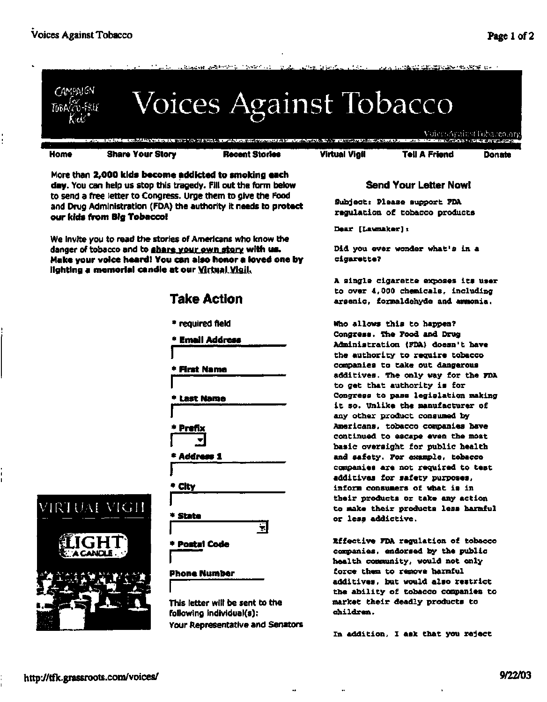

More than **2,000 kids become addicted to smoking each day.** You can help us stop this tragedy. Fill out the form below to send a free letter to Congress. Urge them to give the Food and Drug Administration (FDA) the authority it needs to **protect our kids from Big Tobacco!** 

We invite you to read the stories of Americans who know the danger of tobacco and to share your own story **with us. Make your voice heard! You can also honor a loved one by lighting a memorial candle at our** Virtual Vigil.

# **Take Action**

\* required field

**\* Email Address** 

**• First Name** 

**\* Last Name** 

**\* Prefix** 

**I 3** 

**\* Address 1** 

**City** 

\* **State** 

**\* Postal Code** 

## **Phone Number**

**I**  This letter will be sent to the following individual(s): **Your Representative and Senators** 

 $\overline{\phantom{a}}$ 

## **Send Your Letter Now!**

**Subject: Please support FDA regulation of tobacco products** 

**Dear [Lawmaker]:** 

**Did you ever wonder what's in a cigarette?** 

**A single cigarette exposes its user to over 4,000 chemicals, including arsenic, formaldehyde and ammonia.** 

**Who allows this to happen? Congress. The Food and Drug Administration (FDA) doesn't have the authority to require tobacco companies to take out dangerous additives. The only way for the FDA to get that authority is for Congress to pass legislation making it so. Unlike the manufacturer of any other product consumed by Americans, tobacco companies have continued to escape even the most basic oversight for public health and safety. For example, tobacco companies are not required to test additives for safety purposes, inform consumers of what is in their products or take any action to make their products less harmful or less addictive.** 

**Effective FDA regulation of tobacco companies, endorsed by the public health community, would not only force them to remove harmful additives, but would also restrict the ability of tobacco companies to market their deadly products to children.** 

**In addition, I ask that you reject** 

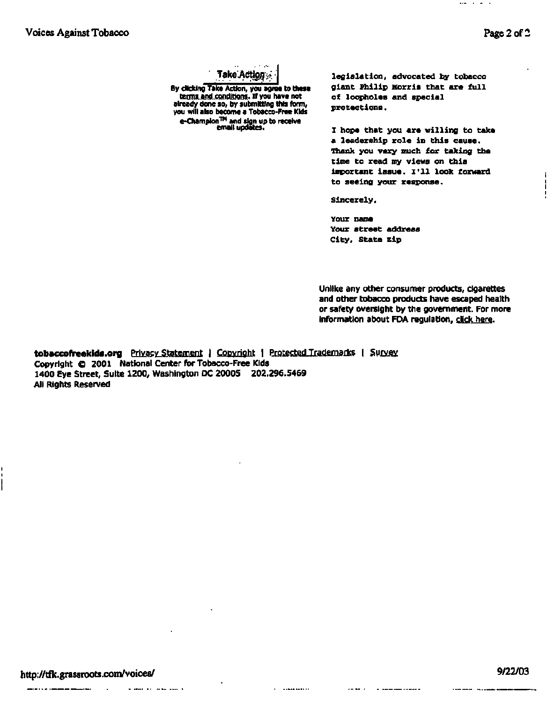$\cdots$ 

**Take^Actipfl;** 

**By clicking Take Action, you agree to these**  terms and conditions. If you have not **already done so, by submitting this form, you will also become a Tobacco-Free Kids e-Champlon™ and sign up to receive email updates.** 

**legislation, advocated by tobacco giant Philip Morris that are full of loopholes and special protections.** 

**I hope that you are willing to take a leadership role in this cause. Thank you very much for taking the time to read my views on this important issue. I'll look forward to seeing your response.** 

**Sincerely,** 

**Your name Your street address City, State Zip** 

Unlike any other consumer products, cigarettes and other tobacco products have escaped health or safety oversight by the government. For more information about FDA regulation, click here.

**[tobaccofreekids.org](http://tobaccofreekids.org)** Privacy Statement | Copyright | Protected Trademarks | Survey Copyright © 2001 National Center for Tobacco-Free Kids 1400 Eye Street, Suite 1200, Washington DC 20005 202.296.5469 All Rights Reserved

a sena ay inan sun k

 $1.1444441111$ 

 $\Delta$  and  $\Delta$  and  $\Delta$  .

- --------------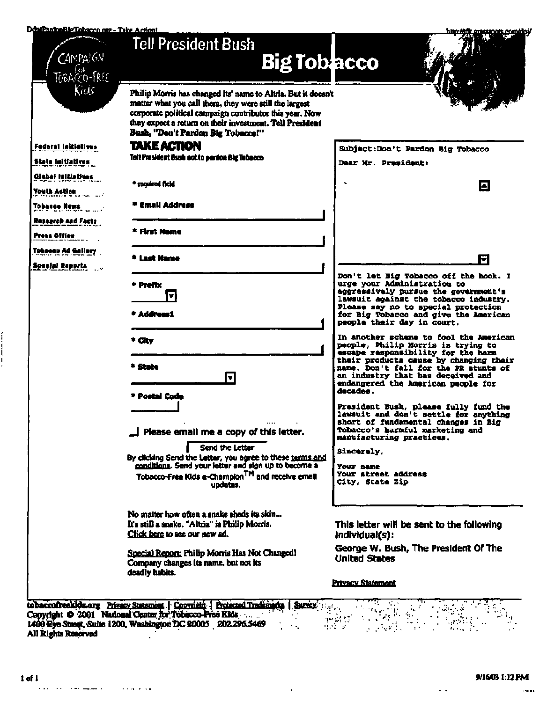#### DdntPartonBigTobacco.org - Take Action!

| DdniParlonBigTobacco.org - Take Action!         |                                                                                                                                                                                                                                                                                     | hiin <i>läft en</i> ssmeis enmidoj/                                                                                                                                                                                                                |
|-------------------------------------------------|-------------------------------------------------------------------------------------------------------------------------------------------------------------------------------------------------------------------------------------------------------------------------------------|----------------------------------------------------------------------------------------------------------------------------------------------------------------------------------------------------------------------------------------------------|
| $C$ AMPAIGN<br>TOBACCO-FREE                     | Tell President Bush<br><b>Big Toblacco</b>                                                                                                                                                                                                                                          |                                                                                                                                                                                                                                                    |
| Kids                                            | Philip Morris has changed its' name to Altria. But it doesn't<br>matter what you call them, they were still the largest<br>corporate political campaign contributor this year. Now<br>they expect a return on their investment. Tell President<br>Bush, "Don't Pardon Big Tobacco!" |                                                                                                                                                                                                                                                    |
| <b>Federal Initiatives</b><br>State Initiatives | <b>TAKE ACTION</b><br>Toll Prosident Bush not to pardon Big Tobacco                                                                                                                                                                                                                 | Subject:Don't Pardon Big Tobacco<br><b>Dear Mr. President:</b>                                                                                                                                                                                     |
| Glebai initiatives<br>Youth Action              | <sup>+</sup> required field                                                                                                                                                                                                                                                         | ⊡                                                                                                                                                                                                                                                  |
| Tobasse News                                    | * Emali Address                                                                                                                                                                                                                                                                     |                                                                                                                                                                                                                                                    |
| Rosearch and Facts<br>Press Office              | * First Name                                                                                                                                                                                                                                                                        |                                                                                                                                                                                                                                                    |
| Tobacco Ad Gallery<br>Special Reports           | <b>Last Name</b>                                                                                                                                                                                                                                                                    | T                                                                                                                                                                                                                                                  |
|                                                 | $+$ Prefix<br>$\blacktriangledown$                                                                                                                                                                                                                                                  | Don't let Big Tobacco off the hook. I<br>urge your Administration to<br>aggressively pursue the government's<br>lawsuit against the tobacco industry.<br>Please say no to special protection                                                       |
|                                                 | * Address1<br>* City                                                                                                                                                                                                                                                                | for Big Tobacco and give the American<br>people their day in court.<br>In another scheme to fool the American                                                                                                                                      |
|                                                 | * State<br>$\blacktriangledown$<br>* Postal Code                                                                                                                                                                                                                                    | people, Philip Morris is trying to<br>escape responsibility for the harm<br>their products cause by changing their<br>name. Don't fall for the PR stunts of<br>an industry that has deceived and<br>endangered the American people for<br>decades. |
|                                                 | $\Box$ Please email me a copy of this letter.                                                                                                                                                                                                                                       | President Bush, please fully fund the<br>lawsuit and don't settle for anything<br>short of fundamental changes in Big-<br>Tobacco's harmful marketing and                                                                                          |
|                                                 | Send the Letter                                                                                                                                                                                                                                                                     | manufacturing practices.<br>Sincerely.                                                                                                                                                                                                             |
|                                                 | By clicking Send the Letter, you agree to these terms and<br>conditions. Send your letter and sign up to become a<br>Tobacco-Free Kids e-Champion <sup>TM</sup> and receive email<br>updates.                                                                                       | Your name<br><b>Your street address</b><br>City, State Zip                                                                                                                                                                                         |
|                                                 | No matter how often a snake sheds its skin<br>It's still a snake. "Altria" is Philip Morris.<br>Click here to see our new ad.                                                                                                                                                       | This letter will be sent to the following<br>individual(s):                                                                                                                                                                                        |
|                                                 | Special Report: Philip Morris Has Not Changed!<br>Company changes its name, but not its                                                                                                                                                                                             | George W. Bush, The President Of The<br><b>United States</b>                                                                                                                                                                                       |
|                                                 | deadly habits.                                                                                                                                                                                                                                                                      | <b>Privacy Statement</b>                                                                                                                                                                                                                           |

 $\bar{\alpha}$ 

**1400 Eye Street, Suite 1200, Washington DC 20005 202.296.5469 All Rights Reserved** 

 $\sim$  -  $\sim$ 

 $\sim 100$ 

Í I j.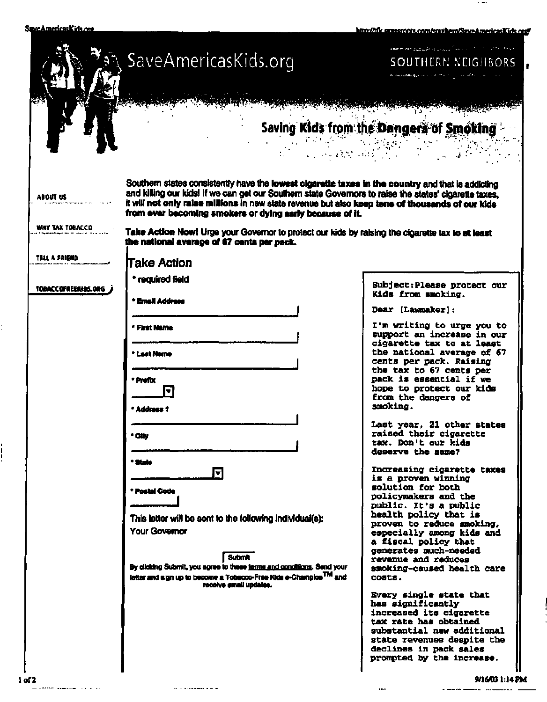SuscAmericasKids.org

 $\vdots$ 

 $\frac{1}{1}$ 

**httn-/Afl> irraeernntr mm/imillwm/Caininufj^MVub <** 

 $\sim$   $\sim$ 

-

|                        | SaveAmericasKids.org                                                                                                                                                                                                                                                                                                                                                        | and respectively. The contract of the second state<br>SOUTHERN NEIGHBORS<br><b>Home and any property of the Contract Contract Contract of the Contract Only 19</b> |
|------------------------|-----------------------------------------------------------------------------------------------------------------------------------------------------------------------------------------------------------------------------------------------------------------------------------------------------------------------------------------------------------------------------|--------------------------------------------------------------------------------------------------------------------------------------------------------------------|
|                        |                                                                                                                                                                                                                                                                                                                                                                             |                                                                                                                                                                    |
|                        | ે છે. જે જે ઉપર પર સ્વર્ધા છે છે.<br>માંગ પર તેને શ્રેષ્ઠ નિર્ધાણિક ગામ                                                                                                                                                                                                                                                                                                     | Saving Kids from the Dangers of Smoking                                                                                                                            |
| ABOUT US               | Southern states consistently have the lowest cigarette taxes in the country and that is addicting<br>and killing our kids! If we can get our Southern state Governors to raise the states' cigarette taxes.<br>it will not only raise millions in new state revenue but also keep tens of thousands of our idds<br>from ever becoming smokers or dying early because of it. |                                                                                                                                                                    |
| <b>WHY TAX TOBACCO</b> | Take Action Now! Urge your Governor to protect our kids by raising the cigarette tax to at least<br>the national average of 67 cents per pack.                                                                                                                                                                                                                              |                                                                                                                                                                    |
| TELL A FRIEND          | <b>Take Action</b>                                                                                                                                                                                                                                                                                                                                                          |                                                                                                                                                                    |
| TOBACCOFREERIOS.ORG    | * required field                                                                                                                                                                                                                                                                                                                                                            | Subject: Please protect our<br>Kids from smoking.                                                                                                                  |
|                        | * Email Address                                                                                                                                                                                                                                                                                                                                                             | Dear [Lawmaker]:                                                                                                                                                   |
|                        | * First Name                                                                                                                                                                                                                                                                                                                                                                | I'm writing to urge you to<br>support an increase in our<br>cigarette tax to at least                                                                              |
|                        | * Last Name                                                                                                                                                                                                                                                                                                                                                                 | the national average of 67<br>cents per pack. Raising<br>the tax to 67 cents per                                                                                   |
|                        | * Prefix<br>O                                                                                                                                                                                                                                                                                                                                                               | pack is essential if we<br>hope to protect our kids<br>from the dangers of                                                                                         |
|                        | * Address 1                                                                                                                                                                                                                                                                                                                                                                 | smoking.                                                                                                                                                           |
|                        | ' City                                                                                                                                                                                                                                                                                                                                                                      | Last year, 21 other states<br>raised their cigarette<br>tax. Don't our kids<br>deserve the same?                                                                   |
|                        | * State<br>4                                                                                                                                                                                                                                                                                                                                                                | Increasing cigarette taxes<br>is a proven winning                                                                                                                  |
|                        | * Postal Code                                                                                                                                                                                                                                                                                                                                                               | solution for both<br>policymakers and the<br>public. It's a public                                                                                                 |
|                        | This letter will be sent to the following individual(s):<br><b>Your Governor</b><br><b>Submit</b>                                                                                                                                                                                                                                                                           | health policy that is<br>proven to reduce smoking,<br>especially among kids and<br>a fiscal policy that<br>generates much-needed                                   |
|                        | By clicking Submit, you agree to these terms and conditions. Send your<br>letter and sign up to become a Tobscco-Free Kids e-Champion <sup>TM</sup> and<br>receive email updates.                                                                                                                                                                                           | revenue and reduces<br>smoking-caused health care<br>costs.                                                                                                        |
|                        |                                                                                                                                                                                                                                                                                                                                                                             | Every single state that<br>has significantly<br>increased its cigarette<br>tax rate has obtained                                                                   |
|                        |                                                                                                                                                                                                                                                                                                                                                                             | substantial new additional<br>state revenues despite the                                                                                                           |